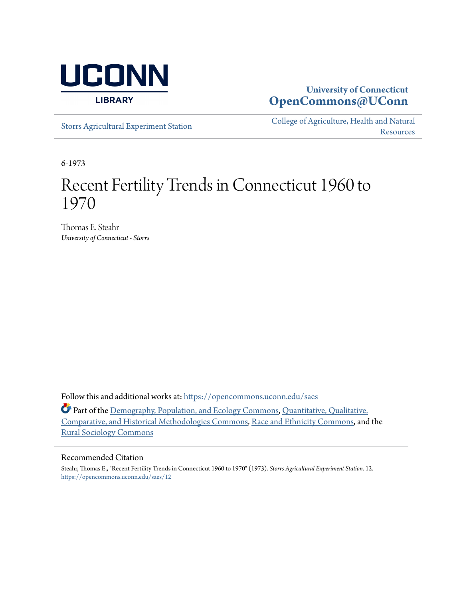

#### **University of Connecticut [OpenCommons@UConn](https://opencommons.uconn.edu?utm_source=opencommons.uconn.edu%2Fsaes%2F12&utm_medium=PDF&utm_campaign=PDFCoverPages)**

[Storrs Agricultural Experiment Station](https://opencommons.uconn.edu/saes?utm_source=opencommons.uconn.edu%2Fsaes%2F12&utm_medium=PDF&utm_campaign=PDFCoverPages)

[College of Agriculture, Health and Natural](https://opencommons.uconn.edu/canr?utm_source=opencommons.uconn.edu%2Fsaes%2F12&utm_medium=PDF&utm_campaign=PDFCoverPages) **[Resources](https://opencommons.uconn.edu/canr?utm_source=opencommons.uconn.edu%2Fsaes%2F12&utm_medium=PDF&utm_campaign=PDFCoverPages)** 

6-1973

### Recent Fertility Trends in Connecticut 1960 to 1970

Thomas E. Steahr *University of Connecticut - Storrs*

Follow this and additional works at: [https://opencommons.uconn.edu/saes](https://opencommons.uconn.edu/saes?utm_source=opencommons.uconn.edu%2Fsaes%2F12&utm_medium=PDF&utm_campaign=PDFCoverPages)

Part of the [Demography, Population, and Ecology Commons,](http://network.bepress.com/hgg/discipline/418?utm_source=opencommons.uconn.edu%2Fsaes%2F12&utm_medium=PDF&utm_campaign=PDFCoverPages) [Quantitative, Qualitative,](http://network.bepress.com/hgg/discipline/423?utm_source=opencommons.uconn.edu%2Fsaes%2F12&utm_medium=PDF&utm_campaign=PDFCoverPages) [Comparative, and Historical Methodologies Commons,](http://network.bepress.com/hgg/discipline/423?utm_source=opencommons.uconn.edu%2Fsaes%2F12&utm_medium=PDF&utm_campaign=PDFCoverPages) [Race and Ethnicity Commons,](http://network.bepress.com/hgg/discipline/426?utm_source=opencommons.uconn.edu%2Fsaes%2F12&utm_medium=PDF&utm_campaign=PDFCoverPages) and the [Rural Sociology Commons](http://network.bepress.com/hgg/discipline/428?utm_source=opencommons.uconn.edu%2Fsaes%2F12&utm_medium=PDF&utm_campaign=PDFCoverPages)

#### Recommended Citation

Steahr, Thomas E., "Recent Fertility Trends in Connecticut 1960 to 1970" (1973). *Storrs Agricultural Experiment Station*. 12. [https://opencommons.uconn.edu/saes/12](https://opencommons.uconn.edu/saes/12?utm_source=opencommons.uconn.edu%2Fsaes%2F12&utm_medium=PDF&utm_campaign=PDFCoverPages)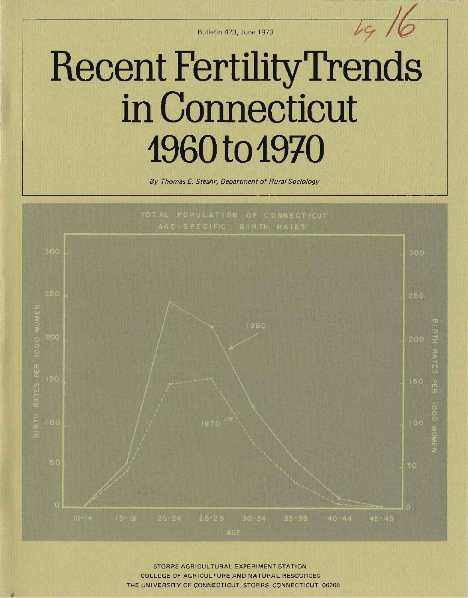Bu lletin 423. June 1973 *Ir e;-* / ~

# **Recent FertilityTrends in Connecticut**  1960 to 1970

By Thomas E. Steahr, Department of Rural Sociology



STORRS AGRICULTURAL EXPERIMENT STATION COLLEGE OF AGRICULTURE AND NATURAL RESOURCES THE UNIVERSITY OF CONNECTICUT, STORRS. CONNECTICUT 06268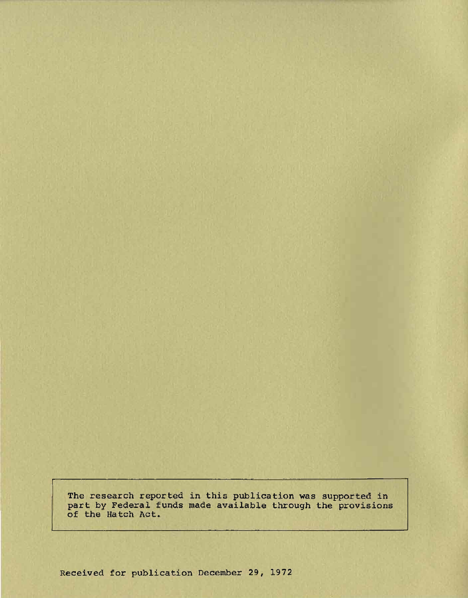The research reported in this publication was supported in part by Federal funds made available through the provisions of the Hatch Act.

Received for publication December 29, 1972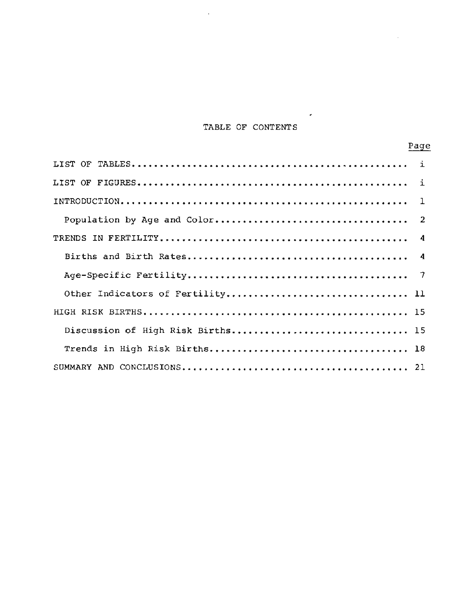#### TABLE OF CONTENTS

 $\hat{\boldsymbol{\epsilon}}$ 

 $\ddot{\phantom{a}}$ 

 $\mathcal{L}^{\text{max}}_{\text{max}}$ 

|                                   | Page |
|-----------------------------------|------|
|                                   |      |
|                                   |      |
|                                   |      |
|                                   |      |
|                                   |      |
|                                   |      |
|                                   |      |
|                                   |      |
|                                   |      |
| Discussion of High Risk Births 15 |      |
|                                   |      |
|                                   |      |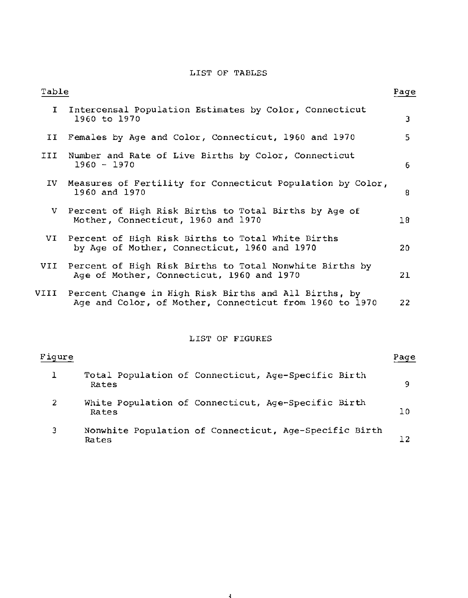#### LIST OF TABLES

| Table          |                                                                                                                  | Page |
|----------------|------------------------------------------------------------------------------------------------------------------|------|
| T.             | Intercensal Population Estimates by Color, Connecticut<br>1960 to 1970                                           | 3    |
| II             | Females by Age and Color, Connecticut, 1960 and 1970                                                             | 5.   |
| III            | Number and Rate of Live Births by Color, Connecticut<br>$1960 - 1970$                                            | 6    |
| IV -           | Measures of Fertility for Connecticut Population by Color,<br>1960 and 1970                                      | 8    |
| v.             | Percent of High Risk Births to Total Births by Age of<br>Mother, Connecticut, 1960 and 1970                      | 18   |
| VI             | Percent of High Risk Births to Total White Births<br>by Age of Mother, Connecticut, 1960 and 1970                | 20   |
| VII            | Percent of High Risk Births to Total Nonwhite Births by<br>Age of Mother, Connecticut, 1960 and 1970             | 21   |
| VIII           | Percent Change in High Risk Births and All Births, by<br>Age and Color, of Mother, Connecticut from 1960 to 1970 | 22   |
|                | LIST OF FIGURES                                                                                                  |      |
| Figure         |                                                                                                                  | Page |
| 1              | Total Population of Connecticut, Age-Specific Birth<br>Rates                                                     | 9    |
| $\overline{2}$ | White Population of Connecticut, Age-Specific Birth<br>Rates                                                     | 10   |

3 Nonwhite Population of Connecticut, Age-Specific Birth Rates 12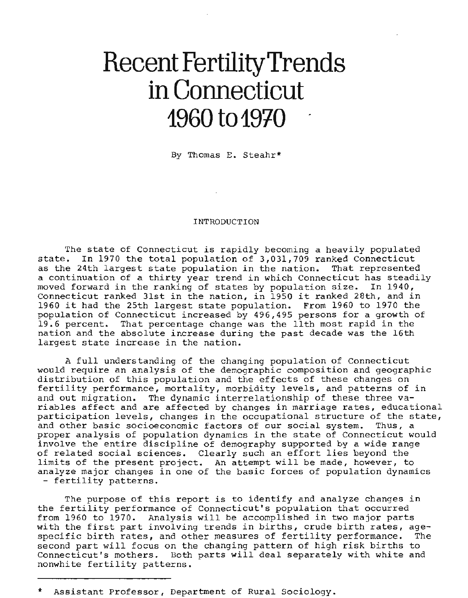## **Recent FertilityTrends in Connecticut**  1960 to 1970

By Thomas E. Steahr\*

#### INTRODUCTION

The state of Connecticut is rapidly becoming a heavily populated state. In 1970 the total population of 3,031,709 ranked Connecticut as the 24th largest state population in the nation. That represented **a continuation of a thirty year trend in which Connecticut has steadily moved forward in the ranking of states by population size. In 1940,**  Connecticut ranked 31st in the nation, in 1950 it ranked 28th, and in Connecticut ranked 31st in the nation, in 1950 it ranked 28th, and in<br>1960 it had the 25th largest state population. From 1960 to 1970 the population of Connecticut increased by 496,495 persons for a growth of 19.6 percent. That percentage change was the 11th most rapid in the nation and the absolute increase during the past decade was the 16th **largest state increase in the nation.** 

A full understanding of the changing population of Connecticut would require an analysis of the demographic composition and geographic distribution of this population and the effects of these changes on **fertility performance, mortality, morbidity levels, and patterns of in**  and out migration. The dynamic interrelationship of these three va**riables affect and are affected by changes in marriage rates, educational participation levels, changes in the occupational structure of the state, and other basic socioeconomic factors of our social system. Thus, a proper analysis of population dynamics in the state of Connecticut would**  involve the entire discipline of demography supported by a wide range of related social sciences. Clearly such an effort lies beyond the limits of the present project. An attempt will be made, however, to **analyze major changes in one of the basic forces of population dynamics**  - fertility patterns.

**The purpose of this report is to identify and analyze changes in the fertility performance of Connecticut's population that occurred**  from 1960 to 1970. Analysis will be accomplished in two major parts **with the first part involving trends in births, crude birth rates, age**specific birth rates, and other measures of fertility performance. The second part will focus on the changing pattern of high risk births to **Connecticut's mothers. Both parts will deal separately with white and**  nonwhite fertility patterns.

Assistant Professor, Department of Rural Sociology.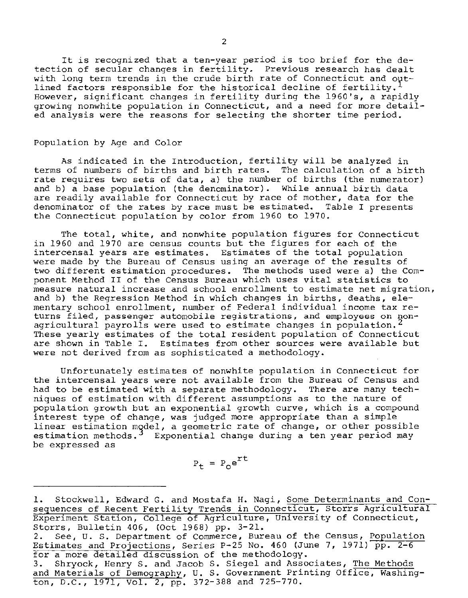**It is recognized that a ten-year period is too brief for the detection of secular changes in fertility\_ Previous research has dealt**  with long term trends in the crude birth rate of Connecticut and out**lined factors responsible for the historical decline of fertility\_ However, significant changes in fertility during the 1960's, a rapidly growing nonwhite population in Connecticut, and a need for more detailed analysis were the reasons for selecting the shorter time period.** 

#### Population by Age and Color

**As indicated** *in* **the Introduction, fertility will be analyzed in**  terms of numbers of births and birth rates. The calculation of a birth rate requires two sets of data, a) the number of births (the numerator) and b) a base population (the denominator). While annual birth data **are readily available for Connecticut by race of mother, data for the denominator of the rates by race must be estimated. Table I presents**  the Connecticut population by color from 1960 to 1970.

**The total, white, and nonwhite population figures for Connecticut**  in 1960 and 1970 are census counts but the figures for each of the **intercensal years are estimates. Estimates of the total population were made by the Bureau of Census using an average of the results of two different estimation procedures. The methods used were a) the Component Method II of the Census Bureau which uses vital statistics to measure natural increase and school enrollment to estimate net migration, and b) the Regression Method in which changes in births, deaths, elementary school enrollment, number of Federal individual income tax returns filed, passenger automobile registrations, and employees on nonagricultural payrolls were used to estimate changes in population. <sup>2</sup>** These yearly estimates of the total resident population of Connecticut **are shown in Table I. Estimates from other sources were available but**  were not derived from as sophisticated a methodology.

**Unfortunately estimates of nonwhite population in Connecticut for the intercensal years were not available from the Bureau of Census and**  had to be estimated with a separate methodology. There are many tech**niques of estimation with different assumptions as to the nature of population growth but an exponential growth curve, which is a compound interest type of change, was judged more appropriate than a simple**  linear estimation model, a geometric rate of change, or other possible **estimation methods. Exponential change during a ten year period may be expressed as** 

$$
P_t = P_0 e^{rt}
$$

**1. Stockwell, Edward G. and Mostafa H. Nagi, Some Determinants and Con**sequences of Recent Fertility Trends in Connecticut, Storrs Agricultural Experiment Station, College of Agriculture, University of Connecticut, Storrs, Bulletin 406, (Oct 1968) pp. 3-21. **2. See, U. S. Department of Commerce, Bureau of the Census, Population**  Estimates and Projections, Series P-25 No. 460 (June 7, 1971)  $\overline{pp. 2-6}$ for a more detailed discussion of the methodology. **3. Shryock, Henry S. and Jacob S. Siegel and Associates, The Methods and Materials of Demography, U. S. Government Printing Office, Washing**ton, D.C., 1971, Vol. 2, pp. 372-388 and 725-770.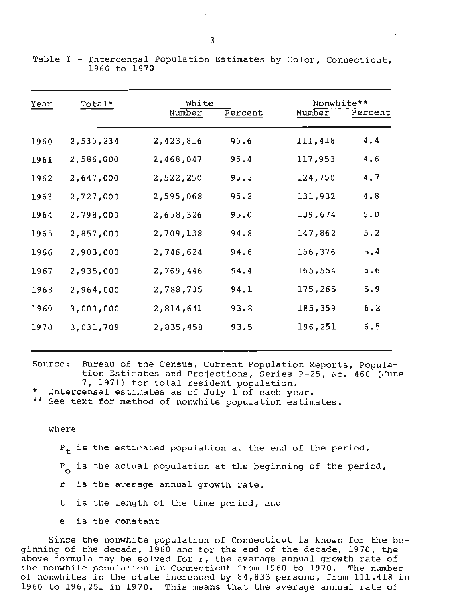| Year | Total*    | White<br>Number | Percent | Nonwhite**<br>Number | Percent |
|------|-----------|-----------------|---------|----------------------|---------|
| 1960 | 2,535,234 | 2,423,816       | 95.6    | 111,418              | 4,4     |
| 1961 | 2,586,000 | 2,468,047       | 95.4    | 117,953              | 4.6     |
| 1962 | 2,647,000 | 2,522,250       | 95.3    | 124,750              | 4.7     |
| 1963 | 2,727,000 | 2,595,068       | 95.2    | 131,932              | 4.8     |
| 1964 | 2,798,000 | 2,658,326       | 95.0    | 139,674              | 5.0     |
| 1965 | 2,857,000 | 2,709,138       | 94.8    | 147,862              | 5.2     |
| 1966 | 2,903,000 | 2,746,624       | 94.6    | 156,376              | 5.4     |
| 1967 | 2,935,000 | 2,769,446       | 94.4    | 165,554              | 5.6     |
| 1968 | 2,964,000 | 2,788,735       | 94.1    | 175,265              | 5.9     |
| 1969 | 3,000,000 | 2,814,641       | 93.8    | 185,359              | 6.2     |
| 1970 | 3,031,709 | 2,835,458       | 93.5    | 196,251              | 6.5     |

Table I - Intercensal Population Estimates by Color, Connecticut, 1960 to 1970

**Source: Bureau of the Census, Current Population Reports, Population Estimates and Projections, Series P-25, No. 460 (June**  7, 1971) for total resident population.

**\* Intercensal estimates as of July 1 of each year.** 

**\*\*** See text for method of nonwhite population estimates.

#### **where**

P<sub>+</sub> is the estimated population at the end of the period, <sup>P</sup>*is* the **actual population at** the beginning of **the period,** <sup>a</sup> <sup>r</sup>*is* the **average** annual growth **rate,**  <sup>t</sup>*is* the length of the **time period,** and

<sup>e</sup>*is* the **constant** 

Since the nonwhite population of Connecticut is known for the beginning of the decade, 1960 and for the end of the decade, 1970, the above formula may be solved for r, the average annual growth rate of the nonwhite population in Connecticut from 1960 to 1970. The number of nonwhites in the state increased by 84,833 persons, from 111,418 in 1960 to 196,251 in 1970. This means that the average annual rate of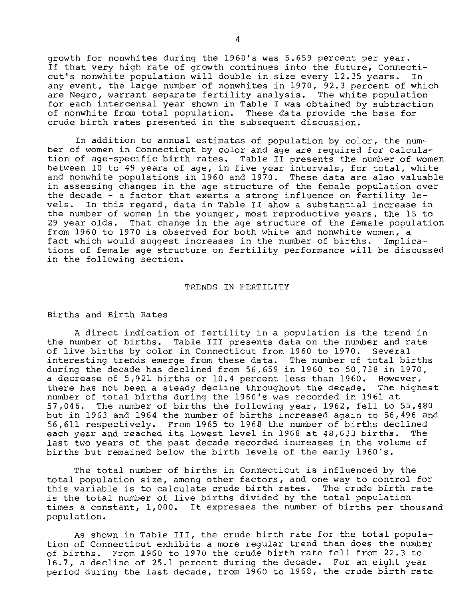growth for nonwhites during the 1960's was 5.659 percent per year. **If that very high rate of growth continues into the future, Connecticut's nonwhite population will double in size every 12.35 years. In**  any event, the large number of nonwhites in 1970, 92.3 percent of which **are Negro, warrant separate fertility analysis. The white population for each intercensal year shown in Table I was obtained by subtraction**  of nonwhite from total population. These data provide the base for **crude birth rates presented in the subsequent discussion.** 

**In addition to annual estimates of population by color, the number of women in Connecticut by color and age are required for calcula**tion of age-specific birth rates. Table II presents the number of women **between 10 to 49 years of age, in five year intervals, for total, white**  and nonwhite populations in 1960 and 1970. These data are also valuable **in assessing changes in the age structure of the female population over the decade - a factor that exerts a strong influence on fertility levels. In this regard, data in Table II show a substantial increase in the number of women in the younger, most reproductive years, the 15 to**  29 year olds. That change in the age structure of the female population from 1960 to 1970 is observed for both white and nonwhite women, a fact which would suggest increases in the number of births. Implica**tions of female age structure on fertility performance will be discussed in the following section.** 

#### TRENDS IN FERTILITY

#### Births and Birth Rates

A direct indication of fertility in a population is the trend in the number of births. Table III presents data on the number and rate of live births by color in Connecticut from 1960 to 1970. Several **interesting trends emerge from these data. The number of total births**  during the decade has declined from 56,659 in 1960 to 50,738 in 1970, a decrease of 5,921 births or 10.4 percent less than 1960. However,<br>there has not been a steady decline throughout the decade. The highest there has not been a steady decline throughout the decade. number of total births during the 1960's was recorded in 1961 at 57,046. The number of births the following year, 1962, fell to 55,480 but in 1963 and 1964 the number of births increased again to 56,496 and 56,611 respectively. From 1965 to 1968 the number of births declined each year and reached its lowest level in 1968 at 48,633 births. The last two years of the past decade recorded increases in the volume of births but remained below the birth levels of the early 1960's.

The total number of births in Connecticut is influenced by the **total population size, among other factors, and one way to control for this variable is to calculate crude birth rates. The crude birth rate**  is the total number of live births divided by the total population times a constant, 1,000. It expresses the number of births per thousand population.

As shown in Table III, the crude birth rate for the total population of Connecticut exhibits a more regular trend than does the number of births. From 1960 to 1970 the crude birth rate fell from 22.3 to 16.7, a decline of 25.1 percent during the decade. For an eight year period during the last decade, from 1960 to 1968, the crude birth rate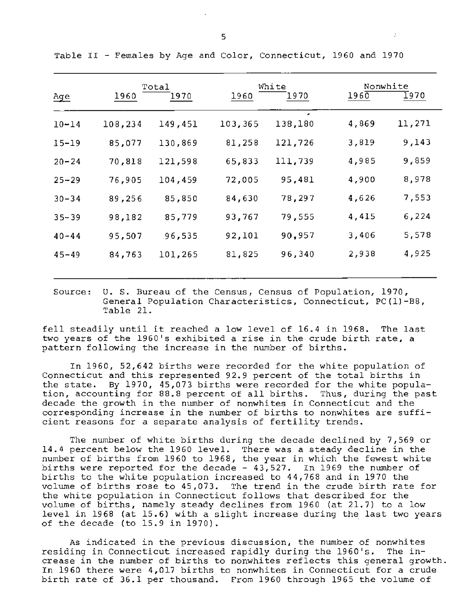|            |         | Total   |         | White   | Nonwhite |        |
|------------|---------|---------|---------|---------|----------|--------|
| <u>Age</u> | 1960    | 1970    | 1960    | 1970    | 1960     | 1970   |
| $10 - 14$  | 108,234 | 149,451 | 103,365 | 138,180 | 4,869    | 11,271 |
| $15 - 19$  | 85,077  | 130,869 | 81,258  | 121,726 | 3,819    | 9,143  |
| $20 - 24$  | 70,818  | 121,598 | 65,833  | 111,739 | 4,985    | 9,859  |
| $25 - 29$  | 76,905  | 104,459 | 72,005  | 95,481  | 4,900    | 8,978  |
| $30 - 34$  | 89,256  | 85,850  | 84,630  | 78,297  | 4,626    | 7,553  |
| $35 - 39$  | 98,182  | 85,779  | 93,767  | 79,555  | 4,415    | 6,224  |
| $40 - 44$  | 95,507  | 96,535  | 92,101  | 90,957  | 3,406    | 5,578  |
| $45 - 49$  | 84,763  | 101,265 | 81,825  | 96,340  | 2,938    | 4,925  |
|            |         |         |         |         |          |        |

Table II - Females by Age and **Color, Connecticut,** 1960 and 1970

**Source: U. S. Bureau of the Census, Census of Population, 1970, General Population Characteristics, Connecticut, PC(l)-BB,**  Table 21.

fell steadily until it reached a low level of 16.4 in 1968. The last **two years of the 1960's exhibited a rise in the crude birth rate, a**  pattern following the increase in the number of births.

In 1960, 52,642 births were recorded for the white population of Connecticut and this represented 92.9 percent of the total births in the state. By 1970, 45,073 births were recorded for the white population, accounting for 88.8 percent of all births. Thus, during the past decade the growth in the number of nonwhites in Connecticut and the **corresponding increase in the number of births to nonwhites are sufficient reasons for a separate analysis of fertility trends.** 

The number of white births during the decade declined by 7,569 or In the number of white births during the decade decrined by 7,509 of<br>14.4 percent below the 1960 level. There was a steady decline in the ra. Percent below the 1960 level. There was a steady decirne in the<br>number of births from 1960 to 1968, the year in which the fewest white births were reported for the decade - 43,527. In 1969 the number of births to the white population increased to 44,768 and in 1970 the volume of births rose to 45,073. The trend in the crude birth rate for the white population in Connecticut follows that described for the volume of births, namely steady declines from 1960 (at 21.7) to a low level in 1968 (at 15.6) with a slight increase during the last two years of the decade (to  $15.9$  in  $1970$ ).

**AS indicated in the previous discussion, the number of nonwhites residing in Connecticut increased rapidly during the 1960's. The increase in the number of births to nonwhites reflects this general growth.**  In 1960 there were 4,017 births to nonwhites in Connecticut for a crude birth rate of 36.1 per thousand. From 1960 through 1965 the volume of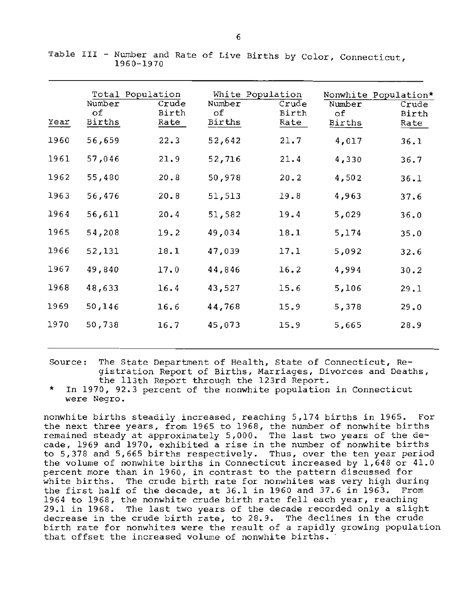|      | Total Population<br>Number<br>оf | Crude<br>Birth | White Population<br>Number<br>оf | Crude<br>Birth | Nonwhite Population*<br>Number<br>оf | Crude<br>Birth |
|------|----------------------------------|----------------|----------------------------------|----------------|--------------------------------------|----------------|
| Year | Births                           | Rate           | Births                           | Rate           | Births                               | Rate           |
| 1960 | 56,659                           | 22.3           | 52,642                           | 21.7           | 4,017                                | 36.1           |
| 1961 | 57,046                           | 21.9           | 52,716                           | 21.4           | 4,330                                | 36.7           |
| 1962 | 55,480                           | 20.8           | 50,978                           | 20.2           | 4,502                                | 36.1           |
| 1963 | 56,476                           | 20.8           | 51,513                           | 19.8           | 4,963                                | 37.6           |
| 1964 | 56,611                           | 20.4           | 51,582                           | 19.4           | 5,029                                | 36.0           |
| 1965 | 54,208                           | 19.2           | 49,034                           | 18.1           | 5,174                                | 35.0           |
| 1966 | 52,131                           | 18.1           | 47,039                           | 17.1           | 5,092                                | 32.6           |
| 1967 | 49,840                           | 17.0           | 44,846                           | 16.2           | 4,994                                | 30.2           |
| 1968 | 48,633                           | 16.4           | 43,527                           | 15.6           | 5,106                                | 29.1           |
| 1969 | 50,146                           | 16.6           | 44,768                           | 15.9           | 5,378                                | 29.0           |
| 1970 | 50,738                           | 16.7           | 45,073                           | 15.9           | 5,665                                | 28.9           |

Table III - Number and Rate of **Live Births by Color, Connecticut,** 1960-1970

- **Source: The State Department of Health, State of Connecticut, Registration Report of Births, Marriages, Divorces and Deaths,**  the 113th Report through the 123rd Report.
- In 1970, 92.3 percent of the nonwhite population in Connecticut **were Negro.**

nonwhite births steadily increased, reaching 5,174 births in 1965. For the next three years, from 1965 to 1968, the number of nonwhite births remained steady at approximately 5,000. The last two years of the decade, 1969 and 1970, exhibited a rise in the number of nonwhite births to 5,378 and 5,665 births respectively. Thus, over the ten year period the volume of nonwhite births in Connecticut increased by 1,648 or 41.0 **percent more than in 1960, in contrast to the pattern discussed for**  percent more than in 1980, in contrast to the pattern diseased for<br>white births. The crude birth rate for nonwhites was very high during white births. The crude birth rate for homwhites was very high during<br>the first half of the decade, at 36.1 in 1960 and 37.6 in 1963. From 1964 to 1968, the nonwhite crude birth rate fell each year, reaching 29.1 in 1968. The last two years of the decade recorded only a slight **decrease in the crude birth rate, to 28.9. The declines in the crude birth rate for nonwhites were the result of a rapidly growing population**  that offset the increased volume of nonwhite births. '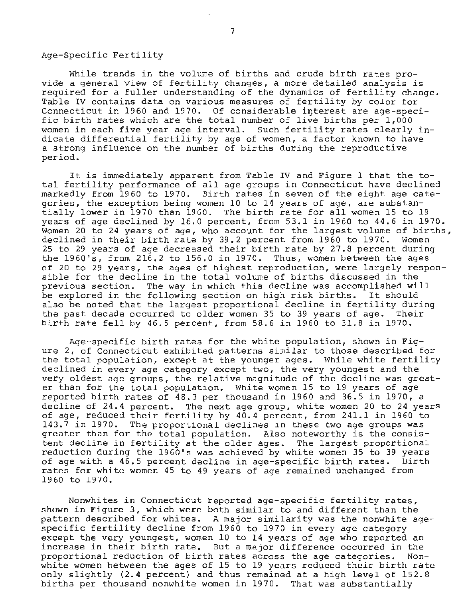#### Age-Specific Fertility

While trends in the volume of births and crude birth rates pro**vide a general view of fertility changes, a more detailed analysis is**  required for a fuller understanding of the dynamics of fertility change. **Table IV contains data on various measures of fertility by color for**  Connecticut in 1960 and 1970. Of considerable interest are age-specific birth rates which are the total number of live births per 1,000 **women in each five year age interval. Such fertility rates clearly in**dicate differential fertility by age of women, a factor known to have **a strong influence on the number of births during the reproductive**  period.

It is immediately apparent from Table IV and Figure 1 that the total fertility performance of all age groups in Connecticut have declined markedly from 1960 to 1970. Birth rates in seven of the eight age cate**gories, the exception being women 10 to 14 years of age, are substan**yories, the exception being women 10 to 14 years or age, are substan-<br>tially lower in 1970 than 1960. The birth rate for all women 15 to 19 tially lower in 1970 than 1960. The birth rate for all women 15 to 19<br>years of age declined by 16.0 percent, from 53.1 in 1960 to 44.6 in 1970. Women 20 to 24 years of age, who account for the largest volume of births, declined in their birth rate by 39.2 percent from 1960 to 1970. Women 25 to 29 years of age decreased their birth rate by 27.8 percent during the 1960's, from 216.2 to 156.0 in 1970. Thus, women between the ages of 20 to 29 years, the ages of highest reproduction, were largely responsible for the decline in the total volume of births discussed in the **previous section. The way in which this decline was accomplished will**  be explored in the following section on high risk births. It should also be noted that the largest proportional decline in fertility during the past decade occurred to older women 35 to 39 years of age. Their birth rate fell by 46.5 percent, from 58.6 in 1960 to 31.8 in 1970.

**Age-specific birth rates for the white population, shown in Figure 2, of Connecticut exhibited patterns similar to those described for**  the total population, except at the younger ages. While white fertility **declined in every age category except two, the very youngest and the very oldest age groups, the relative magnitude of the decline was great**very oldest age groups, the relative magnitude of the decline was gre<br>er than for the total population. White women 15 to 19 years of age reported birth rates of 48.3 per thousand in 1960 and 36.5 in 1970, a decline of 24.4 percent. The next age group, white women 20 to 24 years of age, reduced their fertility by 40.4 percent, from 241.1 in 1960 to 143.7 in 1970. The proportional declines in these two age groups was greater than for the total population. Also noteworthy is the consistent decline in fertility at the older ages. The largest proportional reduction during the 1960's was achieved by white women 35 to 39 years of age with a 46.5 percent decline in age-specific birth rates. Birth **rates for white women 45 to 49 years of age remained unchanged from**  1960 to 1970.

**Nonwhites in Connecticut reported age-specific fertility rates,**  shown in Figure 3, which were both similar to and different than the **pattern described for whites. A major similarity was the nonwhite age**specific fertility decline from 1960 to 1970 in every age category except the very youngest, women 10 to 14 years of age who reported an **increase in their birth rate. But a major difference occurred in the proportional reduction of birth rates across the age categories. Non**white women between the ages of 15 to 19 years reduced their birth rate only slightly (2.4 percent) and thus remained at a high level of 152.8 births per thousand nonwhite women in 1970. That was substantially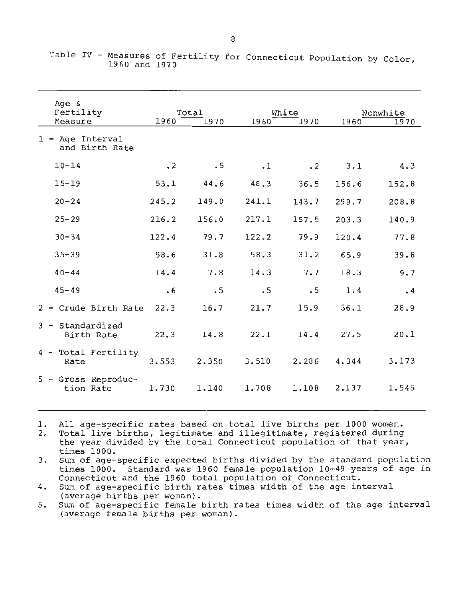| Age &                              |           |           |           |           |       |           |
|------------------------------------|-----------|-----------|-----------|-----------|-------|-----------|
| Fertility                          |           | Total     |           | White     |       | Nonwhite  |
| Measure                            | 1960      | 1970      | 1960      | 1970      | 1960  | 1970      |
| 1 - Age Interval<br>and Birth Rate |           |           |           |           |       |           |
| $10 - 14$                          | $\cdot$ 2 | $\cdot$ 5 | $\cdot$ 1 | $\cdot$ 2 | 3.1   | 4.3       |
| $15 - 19$                          | 53.1      | 44.6      | 48.3      | 36.5      | 156.6 | 152.8     |
| $20 - 24$                          | 245.2     | 149.0     | 241.1     | 143.7     | 299.7 | 208.8     |
| $25 - 29$                          | 216.2     | 156.0     | 217.1     | 157.5     | 203.3 | 140.9     |
| $30 - 34$                          | 122.4     | 79.7      | 122.2     | 79.9      | 120.4 | 77.8      |
| $35 - 39$                          | 58.6      | 31.8      | 58.3      | 31.2      | 65.9  | 39.8      |
| $40 - 44$                          | 14.4      | 7.8       | 14.3      | 7.7       | 18.3  | 9.7       |
| $45 - 49$                          | $\cdot$ 6 | .5        | .5        | .5        | 1.4   | $\cdot$ 4 |
| 2 - Crude Birth Rate               | 22.3      | 16.7      | 21.7      | 15.9      | 36.1  | 28.9      |
| $3 - Standardized$<br>Birth Rate   | 22.3      | 14.8      | 22.1      | 14.4      | 27.5  | 20.1      |
| 4 - Total Fertility<br>Rate        | 3.553     | 2.350     | 3.510     | 2.286     | 4.344 | 3.173     |
| 5 - Gross Reproduc-<br>tion Rate   | 1.730     | 1.140     | 1,708     | 1.108     | 2.137 | 1.545     |

Table IV - Measures of Fertility for Connecticut Population by Color, 1960 and 1970

1. All age-specific rates based on total live births per 1000 women.

2. Total live births, legitimate and illegitimate, registered during the year divided by the total Connecticut population of that year, times 1000.

3. Sum of age-specific expected births divided by the standard population times 1000. Standard was 1960 female population 10-49 years of age in Connecticut and the 1960 total population of Connecticut.

4. Sum of age-specific birth rates times width of the age interval (average births per woman).

5. Sum of age-specific female birth rates times width of the age interval (average female births per woman).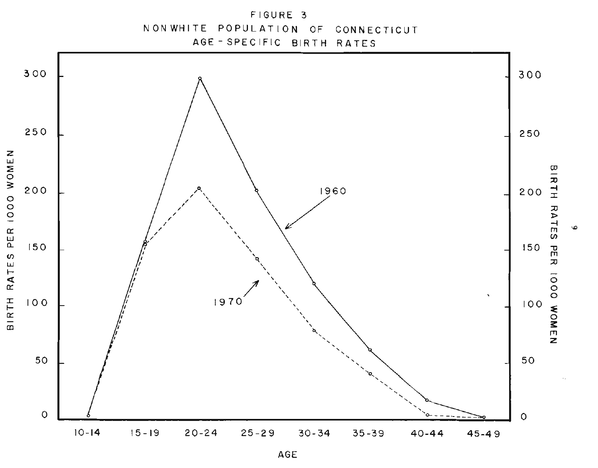

AGE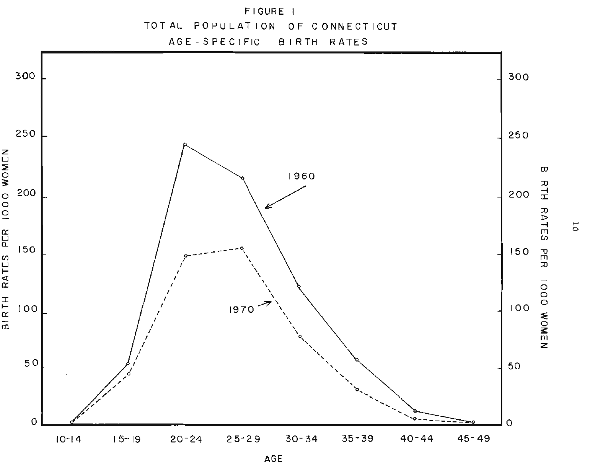

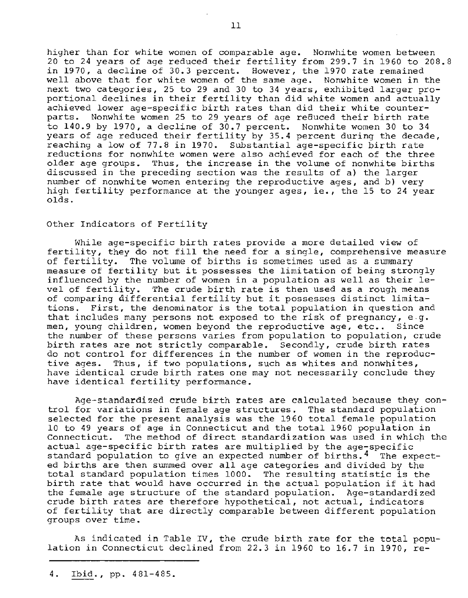**higher than for white women of comparable age. Nonwhite women between**  20 to 24 years of age reduced their fertility from 299.7 in 1960 to 208.8 in 1970, a decline of 30.3 percent. However, the 1970 rate remained **well above that for white women of the same age. Nonwhite women in the**  next two categories, 25 to 29 and 30 to 34 years, exhibited larger proportional declines in their fertility than did white women and actually **achieved lower age-specific birth rates than did their white counter**parts. Nonwhite women 25 to 29 years of age reduced their birth rate to 140.9 by 1970, a decline of 30.7 percent. Nonwhite women 30 to 34 years of age reduced their fertility by 35.4 percent during the decade, reaching a low of 77.8 in 1970. Substantial age-specific birth rate **reductions for nonwhite women were also achieved for each of the three older age groups. Thus, the increase in the volume of nonwhite births discussed** *in* **the preceding section was the results of a) the larger number of nonwhite women entering the reproductive ages, and b) very**  high fertility performance at the younger ages, ie., the 15 to 24 year olds.

#### Other Indicators of Fertility

**While age-specific birth rates provide a more detailed view of**  fertility, they do not fill the need for a single, comprehensive measure of fertility. The volume of births *is* sometimes used as a summary measure of fertility but it possesses the limitation of being strongly **influenced by the number of women in a population as well as their le**vel of fertility. The crude birth rate is then used as a rough means of comparing differential fertility but it possesses distinct limita**tions. First, the denominator is the total population in question and that includes many persons not exposed to the risk of pregnancy, e .g. men, young children, women beyond the reproductive age, etc .• Since the number of these persons varies from population to population, crude birth rates are not strictly comparable. Secondly, crude birth rates**  do not control for differences in the number of women in the reproduc**tive ages. Thus, if two populations, such as whites and nonwhites, have identical crude birth rates one may not necessarily conclude they**  have identical fertility performance.

Age-standardized crude birth rates are calculated because they con**trol for variations in female age structures. The standard population**  selected for the present analysis was the 1960 total female population 10 to 49 years of age in Connecticut and the total 1960 population in **Connecticut. The method of direct standardization was used in which the actual age-specific birth rates are mUltiplied by the age-specific**  standard population to give an expected number of births.<sup>4</sup> The expected births are then summed over all age categories and divided by the total standard population times 1000. The resulting statistic is the birth rate that would have occurred in the actual population if it had the female age structure of the standard population. Age-standardized **crude birth rates are therefore hypothetical, not actual, indicators**  of fertility that are directly comparable between different population **groups over time.** 

As indicated in Table IV, the crude birth rate for the total population in Connecticut declined from 22.3 in 1960 to 16.7 in 1970, re-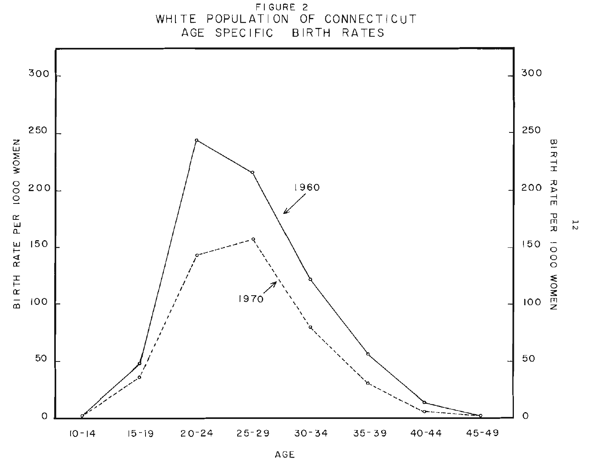

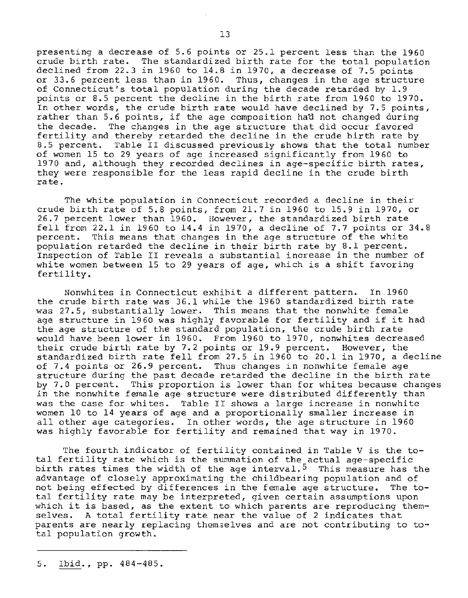presenting a decrease of 5.6 points or 25.1 percent less than the 1960 crude birth rate. The standardized birth rate for the total population declined from 22.3 in 1960 to  $14.8$  in 1970, a decrease of 7.5 points **or 33.6 percent less than in 1960. Thus, changes in the age structure**  of Connecticut's total population during the decade retarded by 1.9 points or 8.5 percent the decline in the birth rate from 1960 to 1970. In other words, the crude birth rate would have declined by 7.5 points, rather than 5.6 points, if the age composition hatl not changed during **the decade. The changes in the age structure that did occur favored**  fertility and thereby retarded the decline in the crude birth rate by 8.5 percent. Table II discussed previously shows that the total number of women 15 to 29 years of age increased significantly from 1960 to 1970 and, although they recorded declines in age-specific birth rates, they were responsible for the less rapid decline in the crude birth **rate.** 

**The white population in Connecticut recorded a decline** *in* **their**  crude birth rate of 5.8 points, from 21.7 in 1960 to 15.9 in 1970, or crude birth fate of 5.6 points, from 21.7 in 1960 to 15.9 in 1970, of<br>26.7 percent lower than 1960. However, the standardized birth rate zo./ percent fower than 1960. However, the standardized birth rate<br>fell from 22.1 in 1960 to 14.4 in 1970, a decline of 7.7 points or 34.8 percent. This means that changes in the age structure of the white population retarded the decline in their birth rate by 8.1 percent. **Inspection of Table II reveals a substantial increase in the number of**  white women between 15 to 29 years of age, which is a shift favoring fertility.

Nonwhites in Connecticut exhibit a different pattern. In 1960 the crude birth rate was 36.1 while the 1960 standardized birth rate was 27.5, substantially lower. This means that the nonwhite female age structure in 1960 was highly favorable for fertility and if it had **the age structure of the standard population, the crude birth rate**  would have been lower in 1960. From 1960 to 1970, nonwhites decreased their crude birth rate by 7.2 points or 19.9 percent. However, the standardized birth rate fell from 27.5 in 1960 to 20.1 in 1970, a decline of 7.4 points or 26.9 percent. Thus changes in nonwhite female age structure during the past decade retarded the decline in the birth rate **by 7.0 percent. This proportion is lower than for whites because changes**  in the nonwhite female age structure were distributed differently than **was the case for whites. Table II shows a large increase in nonwhite women 10 to 14 years of age and a proportionally smaller increase in all other age categories. In other words, the age structure in 1960**  was highly favorable for fertility and remained that way in 1970.

The fourth indicator of fertility contained in Table V is the total fertility rate which is the summation of the actual age-specific birth rates times the width of the age interval.<sup>5</sup> This measure has the advantage of closely approximating the childbearing population and of not being effected by differences in the female age structure. The to**tal fertility rate may be interpreted, given certain assumptions upon which it is based, as the extent to which parents are reproducing them**selves. A total fertility rate near the value of 2 indicates that parents are nearly replacing themselves and are not contributing to total population growth.

<sup>5.</sup> Ibid., pp. 484-485.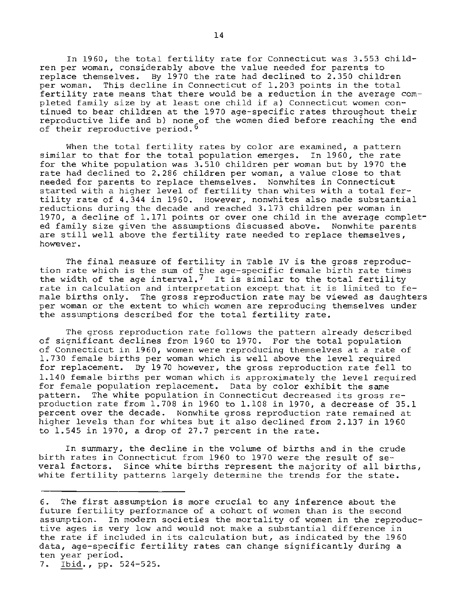In 1960, the total fertility rate for Connecticut was 3.553 child**ren per woman, considerably above the value needed for parents to**  replace themselves. By 1970 the rate had declined to 2.350 children per woman. This decline in Connecticut of 1.203 points in the total **fertility rate means that there would be a reduction in the average com**pleted family size by at least one child if a) Connecticut women continued to bear children at the 1970 age-specific rates throughout their **reproductive life and b) none of the women died before reaching the end**  of their reproductive period.<sup>6</sup>

When the total fertility rates by color are examined, a pattern similar to that for the total population emerges. In 1960, the rate for the white population was 3.510 children per woman but by 1970 the rate had declined to 2.286 children per woman, a value close to that **needed for parents to replace themselves. Nonwhites in Connecticut**  started with a higher level of fertility than whites with a total fertility rate of 4.344 in 1960. However, nonwhites also made substantial **reductions during the decade and reached 3.173 children per woman in**  1970, a decline of 1.171 points or over one child in the average complet**ed family size given the assumptions discussed above. Nonwhite parents are still well above the fertility rate needed to replace themselves, however.** 

**The final measure of fertility in Table IV is the gross reproduction rate which is the sum of the age-specific female birth rate times**  tion rate which is the sum of the age-specific female birth rate times<br>the width of the age interval.<sup>7</sup> It is similar to the total fertility rate in calculation and interpretation except that it is limited to fe**male births only. The gross reproduction rate may be viewed as daughters per woman or the extent to which women are reproducing themselves under**  the assumptions described for the total fertility rate.

The gross reproduction rate follows the pattern already described of significant declines from 1960 to 1970. For the total population **of Connecticut in 1960, women were reproducing themselves at a rate of**  1.730 female births per woman which is well above the level required **for replacement. By 1970 however, the gross reproduction rate fell to**  1.140 female births per woman which is approximately the level required for female population replacement. Data by color exhibit the same **pattern. The white population in Connecticut decreased its gross re**production rate from 1.708 in 1960 to 1.108 in 1970, a decrease of 35.1 **percent over the decade. Nonwhite gross reproduction rate remained at**  higher levels than for whites but it also declined from 2.137 in 1960 to 1.545 in 1970, a drop of 27.7 percent in the rate.

**In summary, the decline in the volume of births and in the crude**  birth rates in Connecticut from 1960 to 1970 were the result of several factors. Since white births represent the majority of all births, white fertility patterns largely determine the trends for the state.

**<sup>6.</sup> The first assumption is more crucial to any inference about the future fertility performance of a cohort of women than is the second assumption. In modern societies the mortality of women in the reproductive ages is very low and would not make a substantial difference in**  the rate if included in its calculation but, as indicated by the 1960 **data, age-specific fertility rates can change significantly during a ten year period.** 

<sup>7.</sup> Ibid., pp. 524-525.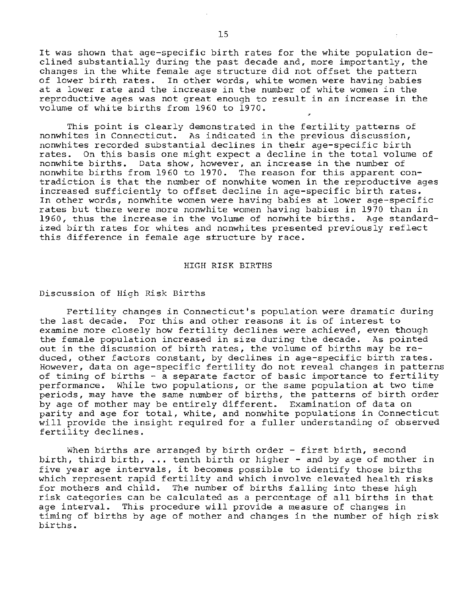It was shown that age-specific birth rates for the white population declined substantially during the past decade and, more importantly, the **changes in the white female age structure did not offset the pattern**  In other words, white women were having babies **at a lower rate and the increase in the number of white women in the reproductive ages was not great enough to result in an increase in the**  volume of white births from 1960 to 1970.

This point is clearly demonstrated in the fertility patterns of **nonwhites in Connecticut. As indicated in the previous discussion, nonwhites recorded substantial declines in their age-specific birth rates. On this basis one might expect a decline in the total volume of nonwhite births. Data show, however, an increase in the number of**  nonwhite births from 1960 to 1970. The reason for this apparent con**tradiction is that the number of nonwhite women in the reproductive ages increased sufficiently to offset decline in age-specific birth rates. In other words, nonwhite women were having babies at lower age-specific rates but there were more nonwhite women having babies in 1970 than in**  1960, thus the increase in the volume of nonwhite births. Age standard**ized birth rates for whites and nonwhites presented previously reflect this difference in female age structure by race.** 

#### HIGH RISK BIRTHS

#### **Discussion of High Risk Births**

**Fertility changes in Connecticut's population were dramatic during the last decade. For this and other reasons it is of interest to examine more closely how fertility declines were achieved, even though the female population increased in size during the decade. As pointed out in the discussion of birth rates, the volume of births may be reduced, other factors constant, by declines in age-specific birth rates. However, data on age-specific fertility do not reveal changes in patterns**  of timing of births - a separate factor of basic importance to fertility **performance. While two populations, or the same population at two time periods, may have the same number of births, the patterns of birth order**  by age of mother may be entirely different. Examination of data on **parity and age for total, white, and nonwhite populations in Connecticut**  will provide the insight required for a fuller understanding of observed fertility declines.

**When births are arranged by birth order - first birth, second**  birth, third birth,  $\ldots$  tenth birth or higher - and by age of mother in **five year age intervals, it becomes possible to identify those births**  which represent rapid fertility and which involve elevated health risks for mothers and child. The number of births falling into these high **risk categories can be calculated as a percentage of all births in that age interval. This procedure will provide a measure of changes in**  timing of births by age of mother and changes in the number of high risk births.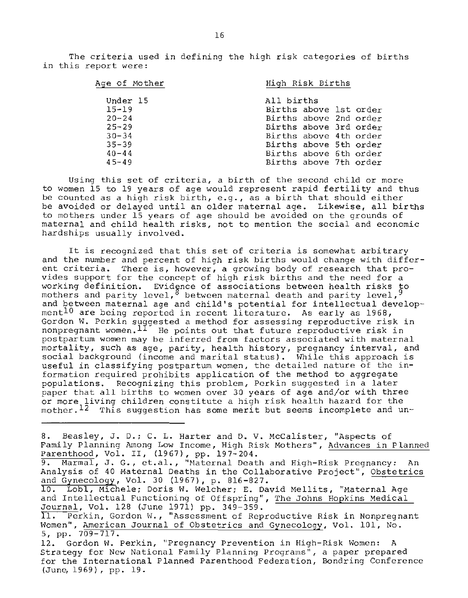**The criteria used in defining the high risk categories of births in this report were:** 

| Age of Mother | High Risk Births       |
|---------------|------------------------|
| Under 15      | All births             |
| $15 - 19$     | Births above 1st order |
| $20 - 24$     | Births above 2nd order |
| $25 - 29$     | Births above 3rd order |
| $30 - 34$     | Births above 4th order |
| $35 - 39$     | Births above 5th order |
| $40 - 44$     | Births above 6th order |
| $45 - 49$     | Births above 7th order |

**Using this set of criteria, a birth of the second child or more**  to women 15 to 19 years of age would represent rapid fertility and thus be counted as a high risk birth, e.g., as a birth that should either **be avoided or delayed until an older maternal age. Likewise, all births to mothers under 15 years of age should be avoided on the grounds of maternal and child health risks, not to mention the social and economic**  hardships usually involved.

**It is recognized that this set of criteria is somewhat arbitrary**  and the number and percent of high risk births would change with differ**ent criteria. There is, however, a growing body of research that pro**vides support for the concept of high risk births and the need for a **working definition. Evidence of associations between health risks to**  mothers and parity level, <sup>8</sup> between maternal death and parity level, <sup>9</sup> and between maternal age and child's potential for intellectual develop**mentlO are being reported in recent literaturea As early as 1968, Gordon W. Perkin suggested a method for assessing reproductive risk in nonpregnant women. lI He points out that future reproductive risk** *in*  **postpartum women may be inferred from factors associated with maternal mortality, such as age, parity, health history, pregnancy interval, and**  social background (income and marital status). While this approach is **useful in classifying postpartum women, the detailed nature of the in**formation required prohibits application of the method to aggregate populations. Recognizing this problem, Perkin suggested in a later paper that all births to women over 30 years of age and/or with three or more living children constitute a high risk health hazard for the **mother. 12 This suggestion has some merit but seems incomplete and un-**

**Ba Beasley, Ja Da; C. L. Harter and D. V. McCalister, "Aspects of Family Planning Among Low Income, High Risk Mothers", Advances in Planned**  Parenthood, Vol. II, (1967), pp. 197-204. 9. Marmal, J. G., et.al., "Maternal Death and High-Risk Pregnancy: An **Analysis of 40 Maternal Deaths in the Collaborative Project", Obstetrics**  and Gynecology, Vol. 30 (1967), p. 816-827. **10. LobI, Michele; Doris W. Welcher; E. David Hellits, "Maternal Age**  and Intellectual Functioning of Offspring", The Johns Hopkins Medical Journal, Vol. 128 (June 1971) pp. 349-359. 11. Perkin, Gordon W., "Assessment of Reproductive Risk in Nonpregnant **Women", American Journal of Obstetrics and Gynecology, Vol. 101, No.**  5, pp. 709-717. **12a Gordon W. Perkin, "Pregnancy Prevention in High-Risk Women: A Strategy for New National Family Planning Programs", a paper prepared for the International Planned Parenthood Federation, Bondring Conference**  (June, 1969), pp. 19.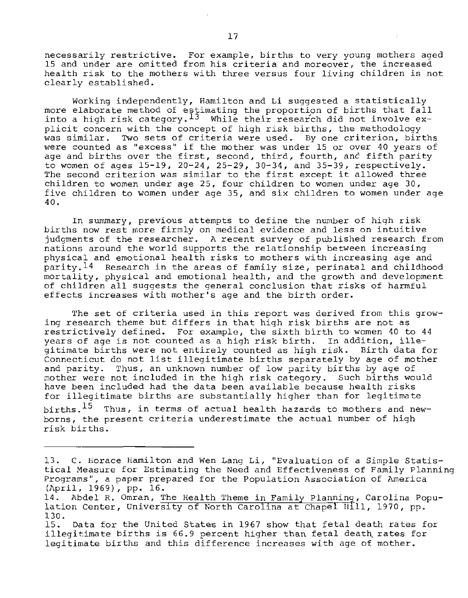**necessarily restrictive. For example, births to very young mothers aged 15 and under are omitted from his criteria and moreover, the increased health risk to the mothers with three versus four living children is not**  clearly established.

Working independently, Hamilton and Li suggested a statistically more elaborate method of estimating the proportion of births that fall **into a high risk category.13 While their research did not involve ex**plicit concern with the concept of high risk births, the methodology **was similar. Two sets of criteria were used. By one criterion, births were counted as "excess" if the mother was under 15 or over 40 years of age and births over the first, second, third, fourth, and fifth parity**  to women of ages 15-19, 20-24, 25-29, 30-34, and 35-39, respectively. **The second criterion was similar to the first except it allowed three children to women under age 25, four children to women under age 30, five children to women under age 35, and six children to women under age**  40.

**In summary, previous attempts to define the number of hiqh risk births now rest more firmly on medical evidence and less on intuitive judgments of the researcher. A recent survey of published research from nations around the world supports the relationship between increasing physical and emotional health risks to mothers with increasing age and parity.14 Research in the areas of family size, perinatal and childhood**  mortality, physical and emotional health, and the growth and development of children all suggests the general conclusion that risks of harmful **effects increases with mother's age and the birth order.** 

**The set of criteria used in this report was derived from this growing research theme but differs in that high risk births are not as**  restrictively defined. For exwnple, the sixth birth to women 40 to 44 **years of age is not counted as a high risk birth. In addition, illegitimate births were not entirely counted as high risk. Birth data for Connecticut do not list illegitimate births separately by age of mother and parity. Thus, an unknown number of low parity births by age of mother were not included in the high risk category. Such births would have been included had the data been available because health risks**  for illegitimate births are substantially higher than for legitimate

births.  $15$  Thus, in terms of actual health hazards to mothers and new**borns, the present criteria underestimate the actual number of high**  risk births.

**<sup>13.</sup> C. Horace Hamilton and Wen Lang Li, "Evaluation of a Simple Statistical Measure for Estimating the Need and Effectiveness of Family Planning Programs", a paper prepared for the Population Association of America**  (April, 1969), pp. 16. -

<sup>14.</sup> Abdel R. Omran, The Health Theme in Family Planning, Carolina Population Center, University of North Carolina at Chapel H111, 1970, pp. 130.

<sup>15.</sup> Data for the United states in 1967 show that fetal death rates for illegitimate births is 66.9 percent higher than fetal death rates for **legitimate births and this difference increases with age of mother.**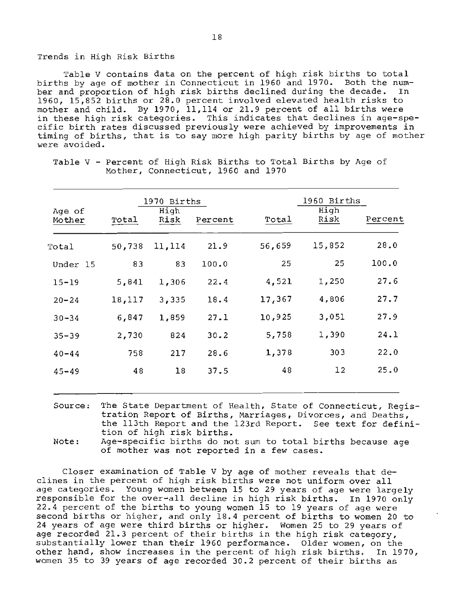#### Trends in High Risk Births

Table V contains data on the percent of high risk births to total births by age of mother in Connecticut in 1960 and 1970. Both the number and proportion of high risk births declined during the decade. 1960, 15,852 births or 28.0 percent involved elevated health risks to mother and child. By 1970, 11,114 or 21.9 percent of all births were **in these high risk categories. This indicates that declines in age-specific birth rates discussed previously were achieved by improvements in**  timing of births, that is to say more high parity births by age of mother **were avoided.** 

|                  |        | 1970 Births  |         |        | 1960 Births  |         |
|------------------|--------|--------------|---------|--------|--------------|---------|
| Age of<br>Mother | Total  | High<br>Risk | Percent | Total  | High<br>Risk | Percent |
| Total            | 50,738 | 11,114       | 21.9    | 56,659 | 15,852       | 28.0    |
| Under 15         | 83     | 83           | 100.0   | 25     | 25           | 100.0   |
| $15 - 19$        | 5,841  | 1,306        | 22.4    | 4,521  | 1,250        | 27.6    |
| $20 - 24$        | 18,117 | 3,335        | 18.4    | 17,367 | 4,806        | 27.7    |
| $30 - 34$        | 6,847  | 1,859        | 27.1    | 10,925 | 3,051        | 27.9    |
| $35 - 39$        | 2,730  | 824          | 30.2    | 5,758  | 1,390        | 24.1    |
| $40 - 44$        | 758    | 217          | 28.6    | 1,378  | 303          | 22.0    |
| $45 - 49$        | 48     | 18           | 37.5    | 48     | 12           | 25.0    |
|                  |        |              |         |        |              |         |

Table V - **Percent** of High Risk Births to Total Births by Age of **Mother, Connecticut,** 1960 and 1970

**Source: The State Department of Health, State of Connecticut, Registration Report of Births, Marriages, Divorces, and Deaths,**  the 113th Report and the 123rd Report. See text for definition of high risk births.

Note: Age-specific births do not sum to total births because age **of mother was not reported in a few cases.** 

**Closer examination of Table V by age of mother reveals that declines in the percent of high risk births were not uniform over all age categories. Young women between 15 to 29 years of age were largely**  responsible for the over-all decline in high risk births. In 1970 only 22.4 percent of the births to young women 15 to 19 years of age were second births or higher, and only 18.4 percent of births to women 20 to 24 years of age were third births or higher. Women 25 to 29 years of age recorded 21.3 percent of their births in the high risk category, substantially lower than their 1960 performance. Older women, on the other hand, show increases in the percent of high risk births. In 1970, women 35 to 39 years of age recorded 30.2 percent of their births as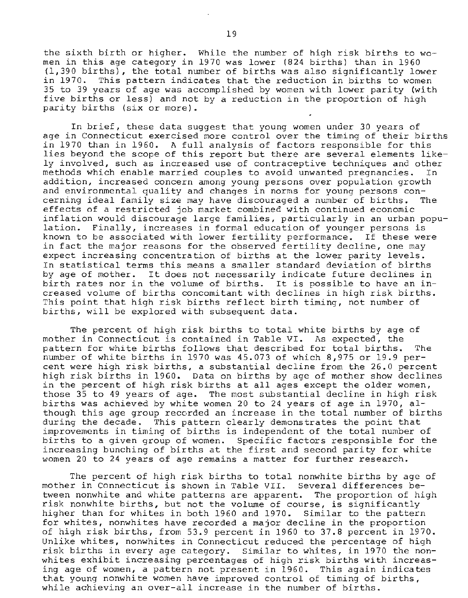the sixth birth or higher. While the number of high risk births to women in this age category in 1970 was lower (824 births) than in 1960 (1,390 births), the total number of births was also significantly lower in 1970. This pattern indicates that the reduction in births to women 35 to 39 years of age was accomplished by women with lower parity (with five births or less) and not by a reduction in the proportion of high parity births (six or more).

**In brief, these data suggest that young women under 30 years of age in Connecticut exercised more control over the timing of their births**  in 1970 than in 1960. A full analysis of factors responsible for this **lies beyond the scope of this report but there are several elements likely involved, such as increased use of contraceptive techniques and other methods which enable married couples to avoid unwanted pregnancies. In addition, increased concern among young persons over population growth and environmental quality and changes in norms for young persons concerning ideal family size may have discouraged a number of births. The effects of a restricted job market combined with continued economic inflation would discourage large families, particularly in an urban population. Finally, increases in formal education of younger persons is known to be associated with lower fertility performance. If these were**  *in* **fact the major reasons for the observed fertility decline, one may expect increasing concentration of births at the lower parity levels. In statistical terms this means a smaller standard deviation of births by age of mother. It does not necessarily indicate future declines in birth rates nor in the volume of births. It is possible to have an** *in***creased volume of births concomitant with declines in high risk births.**  This point that high risk births reflect birth timing, not number of births, will be explored with subsequent data.

The percent of high risk births to total white births by age of **mother in Connecticut is contained in Table VI. As expected, the**  pattern for white births follows that described for total births. The number of white births in 1970 was 45.073 of which 8,975 or 19.9 percent were high risk births, a substantial decline from the 26.0 percent high risk births in 1960. Data on births by age of mother show declines in the percent of high risk births at all ages except the older women, those 35 to 49 years of age. The most substantial decline in high risk births was achieved by white women 20 to 24 years of age in 1970, al**though this age group recorded an increase in the total number of births**  during the decade. This pattern clearly demonstrates the point that **improvements** *in* **timing of births is independent of the total number of births to a given group of women. Specific factors responsible for the increasing bunching of births at the first and second parity for white women 20 to 24 years of age remains a matter for further research.** 

The percent of high risk births to total nonwhite births by age of **mother in Connecticut is shown in Table VII. Several differences between nonwhite and white patterns are apparent. The proportion of high risk nonwhite births, but not the volume of course, is significantly**  higher than for whites in both 1960 and 1970. Similar to the pattern **for whites, nonwhites have recorded a major decline in the proportion**  of high risk births, from 53.9 percent in 1960 to 37.8 percent in 1970. **Unlike whites, nonwhites in Connecticut reduced the percentage of high risk births in every age category. Similar to whites, in 1970 the nonwhites exhibit increasing percentages of high risk births with increasing age of women, a pattern not present** *in* **1960. This again indicates that young nonwhite women have improved control of timing of births, while achieving an over-all increase in the number of births.**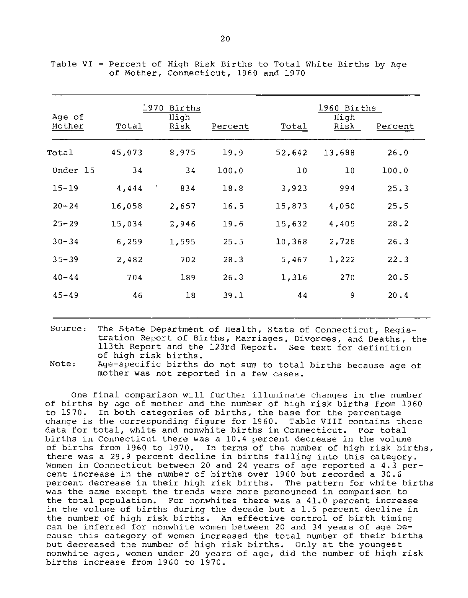| Age of<br>Mother | Total  | 1970 Births<br>High<br>Risk | Percent | Total  | 1960 Births<br>High<br>Risk | Percent |
|------------------|--------|-----------------------------|---------|--------|-----------------------------|---------|
| Total            | 45,073 | 8,975                       | 19.9    | 52,642 | 13,688                      | 26.0    |
| Under 15         | 34     | 34                          | 100.0   | 10     | 10                          | 100.0   |
| $15 - 19$        | 4,444  | - 5<br>834                  | 18.8    | 3,923  | 994                         | 25.3    |
| $20 - 24$        | 16,058 | 2,657                       | 16.5    | 15,873 | 4,050                       | 25.5    |
| $25 - 29$        | 15,034 | 2,946                       | 19.6    | 15,632 | 4,405                       | 28.2    |
| $30 - 34$        | 6,259  | 1,595                       | 25.5    | 10,368 | 2,728                       | 26.3    |
| $35 - 39$        | 2,482  | 702                         | 28.3    | 5,467  | 1,222                       | 22.3    |
| $40 - 44$        | 704    | 189                         | 26.8    | 1,316  | 270                         | 20.5    |
| $45 - 49$        | 46     | 18                          | 39.1    | 44     | 9                           | 20.4    |
|                  |        |                             |         |        |                             |         |

Table VI - Percent of High Risk Births to Total White Births by Age of Mother, Connecticut, 1960 and 1970

Source: The State Department of Health, State of Connecticut, Regis**tration Report of Births, Marriages, Divorces, and Deaths, the**  113th Report and the 123rd Report. See text for definition of high risk births.

Note: Age-specific births do not sum to total births because age of **mother was not reported in a few cases.** 

One final comparison will further illuminate changes in the number of births by age of mother and the number of high risk births from 1960 to 1970. In both categories of births, the base for the percentage change is the corresponding figure for 1960. Table VIII contains these **data for total, white and nonwhite births in Connecticut. For total births in Connecticut there was a 10.4 percent decrease in the volume**  of births from 1960 to 1970. In terms of the number of high risk births, there was a 29.9 percent decline in births falling into this category. **Women in Connecticut between 20 and 24 years of age reported a 4.3 percent increase in the number of births over 1960 but recorded a 30.6**  percent decrease in their high risk births. The pattern for white births **was the same except the trends were more pronounced in comparison to the total population. For nonwhites there was a 41.0 percent increase in the volume of births during the decade but a 1.5 percent decline in**  the number of high risk births. An effective control of birth timing **can be inferred for nonwhite women between 20 and 34 years of age because this category of women increased the total number of their births**  but decreased the number of high risk births. Only at the youngest **nonwhite ages, women under 20 years of age, did the number of high risk**  births increase from 1960 to 1970.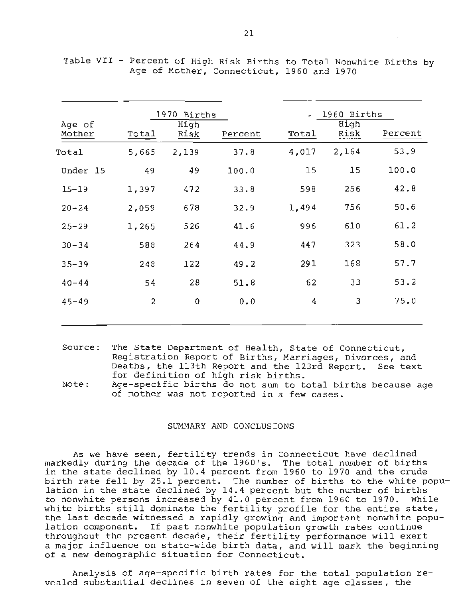| Age of<br>Mother | Total | 1970 Births<br>High<br>Risk | Percent | Total | 1960 Births<br>High<br>Risk | Percent |
|------------------|-------|-----------------------------|---------|-------|-----------------------------|---------|
| Total            | 5,665 | 2,139                       | 37.8    | 4,017 | 2,164                       | 53.9    |
| Under 15         | 49    | 49                          | 100.0   | 15    | 15                          | 100.0   |
| $15 - 19$        | 1,397 | 472                         | 33.8    | 598   | 256                         | 42.8    |
| $20 - 24$        | 2,059 | 678                         | 32.9    | 1,494 | 756                         | 50.6    |
| $25 - 29$        | 1,265 | 526                         | 41.6    | 996   | 610                         | 61.2    |
| $30 - 34$        | 588   | 264                         | 44.9    | 447   | 323                         | 58.0    |
| $35 - 39$        | 248   | 122                         | 49.2    | 291   | 168                         | 57.7    |
| $40 - 44$        | 54    | 28                          | 51.8    | 62    | 33                          | 53.2    |
| $45 - 49$        | 2     | $\pmb{0}$                   | 0.0     | 4     | 3                           | 75.0    |
|                  |       |                             |         |       |                             |         |

|  |  |  |  |                                           |  | Table VII - Percent of High Risk Births to Total Nonwhite Births by |  |
|--|--|--|--|-------------------------------------------|--|---------------------------------------------------------------------|--|
|  |  |  |  | Age of Mother, Connecticut, 1960 and 1970 |  |                                                                     |  |

| Source: The State Department of Health, State of Connecticut, |
|---------------------------------------------------------------|
| Registration Report of Births, Marriages, Divorces, and       |
| Deaths, the 113th Report and the 123rd Report. See text       |
| for definition of high risk births.                           |

Note: Age-specific births do not sum to total births because age **of mother was not reported in a few cases.** 

#### SUMMARY AND CONCLUSIONS

**As we have seen, fertility trends in Connecticut have declined**  markedly during the decade of the 1960's. The total number of births in the state declined by 10.4 percent from 1960 to 1970 and the crude birth rate fell by 25.1 percent. The number of births to the white population in the state declined by 14.4 percent but the number of births to nonwhite persons increased by 41.0 percent from 1960 to 1970. While white births still dominate the fertility profile for the entire state, **the last decade witnessed a rapidly growing and important nonwhite population component. If past nonwhite population growth rates continue**  throughout the present decade, their fertility performance will exert a major influence on state-wide birth data, and will mark the beginning **of a new demographic situation for Connecticut.** 

Analysis of age-specific birth rates for the total population re**vealed substantial declines in seven of the eight age classes, the**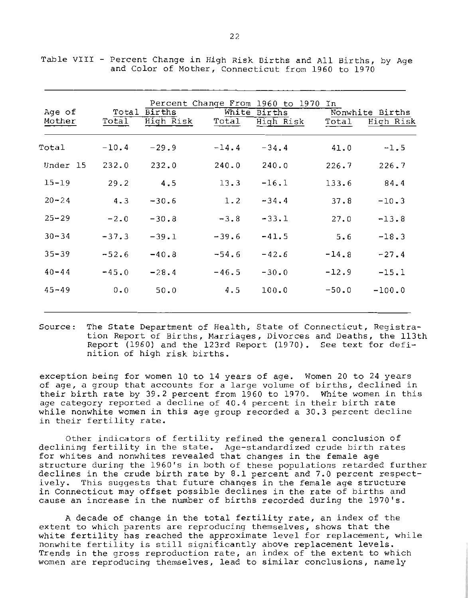| Age of<br>Mother | Total<br>Total | Births<br>High Risk | White<br>Total | Percent Change From 1960 to 1970 In<br>Births<br>High Risk | Total   | Nonwhite Births<br>High Risk |
|------------------|----------------|---------------------|----------------|------------------------------------------------------------|---------|------------------------------|
| Total            | $-10.4$        | $-29.9$             | $-14.4$        | $-34.4$                                                    | 41.0    | $-1.5$                       |
| Under 15         | 232.0          | 232.0               | 240.0          | 240.0                                                      | 226.7   | 226.7                        |
| $15 - 19$        | 29.2           | 4.5                 | 13.3           | $-16.1$                                                    | 133.6   | 84.4                         |
| $20 - 24$        | 4.3            | $-30.6$             | 1.2            | $-34.4$                                                    | 37.8    | $-10.3$                      |
| $25 - 29$        | $-2.0$         | $-30.8$             | $-3.8$         | $-33.1$                                                    | 27.0    | $-13.8$                      |
| $30 - 34$        | $-37.3$        | $-39.1$             | $-39.6$        | $-41.5$                                                    | 5.6     | $-18.3$                      |
| $35 - 39$        | $-52.6$        | $-40.8$             | $-54.6$        | $-42.6$                                                    | $-14.8$ | $-27.4$                      |
| $40 - 44$        | $-45.0$        | $-28.4$             | $-46.5$        | $-30.0$                                                    | $-12.9$ | $-15.1$                      |
| $45 - 49$        | 0.0            | 50.0                | 4.5            | 100.0                                                      | $-50.0$ | $-100.0$                     |
|                  |                |                     |                |                                                            |         |                              |

Table VIII - Percent Change in High Risk Births and All Births, by Age and Color of Mother, Connecticut from 1960 to 1970

Source: The State Department of Health, State of Connecticut, Registra**tion Report of Births, Marriages, Divorces and Deaths, the 113th**  Report (1960) and the l23rd Report (1970). See text for definition of high risk births.

**exception being for women 10 to 14 years of age. Women 20 to 24 years of age, a group that accounts for a larg e volume of births, declined in**  their birth rate by 39.2 percent from 1960 to 1970. White women in this **age category reported a decline of 40.4 percent** *in* **their birth rate while nonwhite women in this age group recorded a 30.3 percent decline in their fertility rate.** 

**Other indicators of fertility refined the general conclusion of**  declining fertility in the state. Age-standardized crude birth rates **for whites and nonwhites revealed that changes in the female age**  structure during the 1960's in both of these populations retarded further declines in the crude birth rate by 8.1 percent and 7.0 percent respect**ively. This suggests that future changes in the female age structure in Connecticut may offset possible declines in the rate of births and cause an increase in the number of births recorded during the 1970's.** 

A decade of change in the total fertility rate, an index of the **extent to which parents are reproducing themselves, shows that the white fertility has reached the approximate level for replacement, while nonwhite fertility is still significantly above replacement levels. Trends in the gross reproduction rate, an index of the extent to which women are reproducing themselves, lead to similar conclusions, namely**